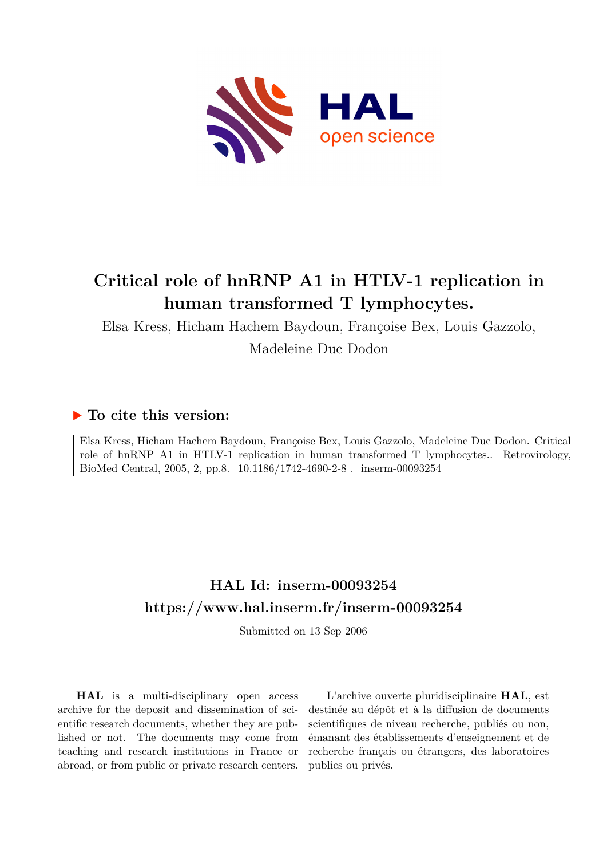

# **Critical role of hnRNP A1 in HTLV-1 replication in human transformed T lymphocytes.**

Elsa Kress, Hicham Hachem Baydoun, Françoise Bex, Louis Gazzolo,

Madeleine Duc Dodon

## **To cite this version:**

Elsa Kress, Hicham Hachem Baydoun, Françoise Bex, Louis Gazzolo, Madeleine Duc Dodon. Critical role of hnRNP A1 in HTLV-1 replication in human transformed T lymphocytes.. Retrovirology, BioMed Central, 2005, 2, pp.8. 10.1186/1742-4690-2-8. inserm-00093254

## **HAL Id: inserm-00093254 <https://www.hal.inserm.fr/inserm-00093254>**

Submitted on 13 Sep 2006

**HAL** is a multi-disciplinary open access archive for the deposit and dissemination of scientific research documents, whether they are published or not. The documents may come from teaching and research institutions in France or abroad, or from public or private research centers.

L'archive ouverte pluridisciplinaire **HAL**, est destinée au dépôt et à la diffusion de documents scientifiques de niveau recherche, publiés ou non, émanant des établissements d'enseignement et de recherche français ou étrangers, des laboratoires publics ou privés.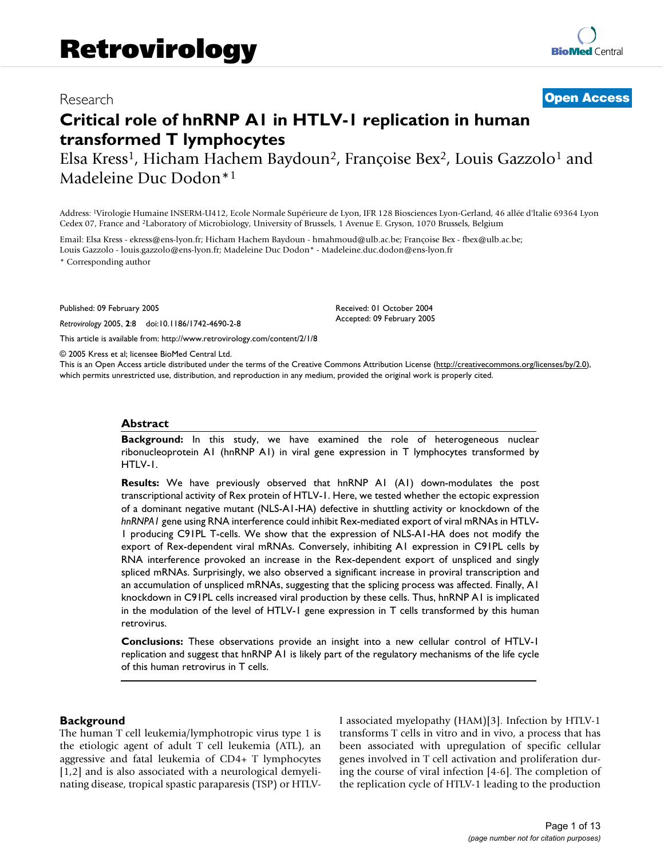## Research [Open Access](http://www.biomedcentral.com/info/about/charter/)

# **Critical role of hnRNP A1 in HTLV-1 replication in human transformed T lymphocytes**

Elsa Kress<sup>1</sup>, Hicham Hachem Baydoun<sup>2</sup>, Françoise Bex<sup>2</sup>, Louis Gazzolo<sup>1</sup> and Madeleine Duc Dodon\*<sup>1</sup>

Address: <sup>1</sup>Virologie Humaine INSERM-U412, Ecole Normale Supérieure de Lyon, IFR 128 Biosciences Lyon-Gerland, 46 allée d'ltalie 69364 Lyon Cedex 07, France and <sup>2</sup>Laboratory of Microbiology, University of Brussels, 1 Avenue E. Gryson, 1070 Brussels, Belgium

Email: Elsa Kress - ekress@ens-lyon.fr; Hicham Hachem Baydoun - hmahmoud@ulb.ac.be; Françoise Bex - fbex@ulb.ac.be; Louis Gazzolo - louis.gazzolo@ens-lyon.fr; Madeleine Duc Dodon\* - Madeleine.duc.dodon@ens-lyon.fr

\* Corresponding author

Published: 09 February 2005

*Retrovirology* 2005, **2**:8 doi:10.1186/1742-4690-2-8

[This article is available from: http://www.retrovirology.com/content/2/1/8](http://www.retrovirology.com/content/2/1/8)

© 2005 Kress et al; licensee BioMed Central Ltd.

This is an Open Access article distributed under the terms of the Creative Commons Attribution License [\(http://creativecommons.org/licenses/by/2.0\)](http://creativecommons.org/licenses/by/2.0), which permits unrestricted use, distribution, and reproduction in any medium, provided the original work is properly cited.

Received: 01 October 2004 Accepted: 09 February 2005

#### **Abstract**

**Background:** In this study, we have examined the role of heterogeneous nuclear ribonucleoprotein A1 (hnRNP A1) in viral gene expression in T lymphocytes transformed by HTLV-1.

**Results:** We have previously observed that hnRNP A1 (A1) down-modulates the post transcriptional activity of Rex protein of HTLV-1. Here, we tested whether the ectopic expression of a dominant negative mutant (NLS-A1-HA) defective in shuttling activity or knockdown of the *hnRNPA1* gene using RNA interference could inhibit Rex-mediated export of viral mRNAs in HTLV-1 producing C91PL T-cells. We show that the expression of NLS-A1-HA does not modify the export of Rex-dependent viral mRNAs. Conversely, inhibiting A1 expression in C91PL cells by RNA interference provoked an increase in the Rex-dependent export of unspliced and singly spliced mRNAs. Surprisingly, we also observed a significant increase in proviral transcription and an accumulation of unspliced mRNAs, suggesting that the splicing process was affected. Finally, A1 knockdown in C91PL cells increased viral production by these cells. Thus, hnRNP A1 is implicated in the modulation of the level of HTLV-1 gene expression in T cells transformed by this human retrovirus.

**Conclusions:** These observations provide an insight into a new cellular control of HTLV-1 replication and suggest that hnRNP A1 is likely part of the regulatory mechanisms of the life cycle of this human retrovirus in T cells.

#### **Background**

The human T cell leukemia/lymphotropic virus type 1 is the etiologic agent of adult T cell leukemia (ATL), an aggressive and fatal leukemia of CD4+ T lymphocytes [1,2] and is also associated with a neurological demyelinating disease, tropical spastic paraparesis (TSP) or HTLV- I associated myelopathy (HAM)[3]. Infection by HTLV-1 transforms T cells in vitro and in vivo, a process that has been associated with upregulation of specific cellular genes involved in T cell activation and proliferation during the course of viral infection [4-6]. The completion of the replication cycle of HTLV-1 leading to the production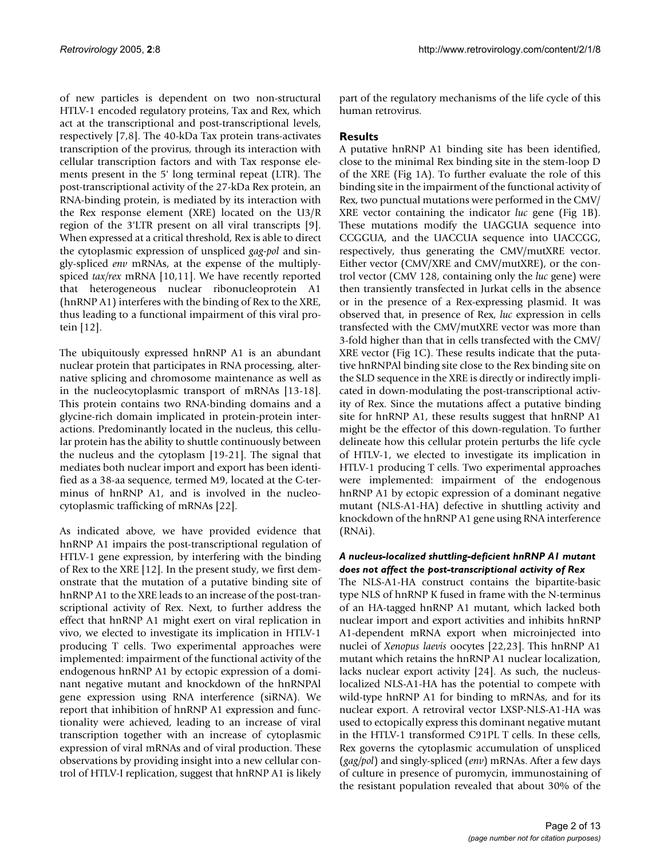of new particles is dependent on two non-structural HTLV-1 encoded regulatory proteins, Tax and Rex, which act at the transcriptional and post-transcriptional levels, respectively [7,8]. The 40-kDa Tax protein trans-activates transcription of the provirus, through its interaction with cellular transcription factors and with Tax response elements present in the 5' long terminal repeat (LTR). The post-transcriptional activity of the 27-kDa Rex protein, an RNA-binding protein, is mediated by its interaction with the Rex response element (XRE) located on the U3/R region of the 3'LTR present on all viral transcripts [9]. When expressed at a critical threshold, Rex is able to direct the cytoplasmic expression of unspliced *gag-pol* and singly-spliced *env* mRNAs, at the expense of the multiplyspiced *tax/rex* mRNA [10,11]. We have recently reported that heterogeneous nuclear ribonucleoprotein A1 (hnRNP A1) interferes with the binding of Rex to the XRE, thus leading to a functional impairment of this viral protein [12].

The ubiquitously expressed hnRNP A1 is an abundant nuclear protein that participates in RNA processing, alternative splicing and chromosome maintenance as well as in the nucleocytoplasmic transport of mRNAs [13-18]. This protein contains two RNA-binding domains and a glycine-rich domain implicated in protein-protein interactions. Predominantly located in the nucleus, this cellular protein has the ability to shuttle continuously between the nucleus and the cytoplasm [19-21]. The signal that mediates both nuclear import and export has been identified as a 38-aa sequence, termed M9, located at the C-terminus of hnRNP A1, and is involved in the nucleocytoplasmic trafficking of mRNAs [22].

As indicated above, we have provided evidence that hnRNP A1 impairs the post-transcriptional regulation of HTLV-1 gene expression, by interfering with the binding of Rex to the XRE [12]. In the present study, we first demonstrate that the mutation of a putative binding site of hnRNP A1 to the XRE leads to an increase of the post-transcriptional activity of Rex. Next, to further address the effect that hnRNP A1 might exert on viral replication in vivo, we elected to investigate its implication in HTLV-1 producing T cells. Two experimental approaches were implemented: impairment of the functional activity of the endogenous hnRNP A1 by ectopic expression of a dominant negative mutant and knockdown of the hnRNPAl gene expression using RNA interference (siRNA). We report that inhibition of hnRNP A1 expression and functionality were achieved, leading to an increase of viral transcription together with an increase of cytoplasmic expression of viral mRNAs and of viral production. These observations by providing insight into a new cellular control of HTLV-I replication, suggest that hnRNP A1 is likely part of the regulatory mechanisms of the life cycle of this human retrovirus.

## **Results**

A putative hnRNP A1 binding site has been identified, close to the minimal Rex binding site in the stem-loop D of the XRE (Fig [1](#page-3-0)A). To further evaluate the role of this binding site in the impairment of the functional activity of Rex, two punctual mutations were performed in the CMV/ XRE vector containing the indicator *luc* gene (Fig [1B](#page-3-0)). These mutations modify the UAGGUA sequence into CCGGUA, and the UACCUA sequence into UACCGG, respectively, thus generating the CMV/mutXRE vector. Either vector (CMV/XRE and CMV/mutXRE), or the control vector (CMV 128, containing only the *luc* gene) were then transiently transfected in Jurkat cells in the absence or in the presence of a Rex-expressing plasmid. It was observed that, in presence of Rex, *luc* expression in cells transfected with the CMV/mutXRE vector was more than 3-fold higher than that in cells transfected with the CMV/ XRE vector (Fig [1C](#page-3-0)). These results indicate that the putative hnRNPAl binding site close to the Rex binding site on the SLD sequence in the XRE is directly or indirectly implicated in down-modulating the post-transcriptional activity of Rex. Since the mutations affect a putative binding site for hnRNP A1, these results suggest that hnRNP A1 might be the effector of this down-regulation. To further delineate how this cellular protein perturbs the life cycle of HTLV-1, we elected to investigate its implication in HTLV-1 producing T cells. Two experimental approaches were implemented: impairment of the endogenous hnRNP A1 by ectopic expression of a dominant negative mutant (NLS-A1-HA) defective in shuttling activity and knockdown of the hnRNP A1 gene using RNA interference (RNAi).

## *A nucleus-localized shuttling-deficient hnRNP A1 mutant does not affect the post-transcriptional activity of Rex*

The NLS-A1-HA construct contains the bipartite-basic type NLS of hnRNP K fused in frame with the N-terminus of an HA-tagged hnRNP A1 mutant, which lacked both nuclear import and export activities and inhibits hnRNP A1-dependent mRNA export when microinjected into nuclei of *Xenopus laevis* oocytes [22,23]. This hnRNP A1 mutant which retains the hnRNP A1 nuclear localization, lacks nuclear export activity [24]. As such, the nucleuslocalized NLS-A1-HA has the potential to compete with wild-type hnRNP A1 for binding to mRNAs, and for its nuclear export. A retroviral vector LXSP-NLS-A1-HA was used to ectopically express this dominant negative mutant in the HTLV-1 transformed C91PL T cells. In these cells, Rex governs the cytoplasmic accumulation of unspliced (*gag/pol*) and singly-spliced (*env*) mRNAs. After a few days of culture in presence of puromycin, immunostaining of the resistant population revealed that about 30% of the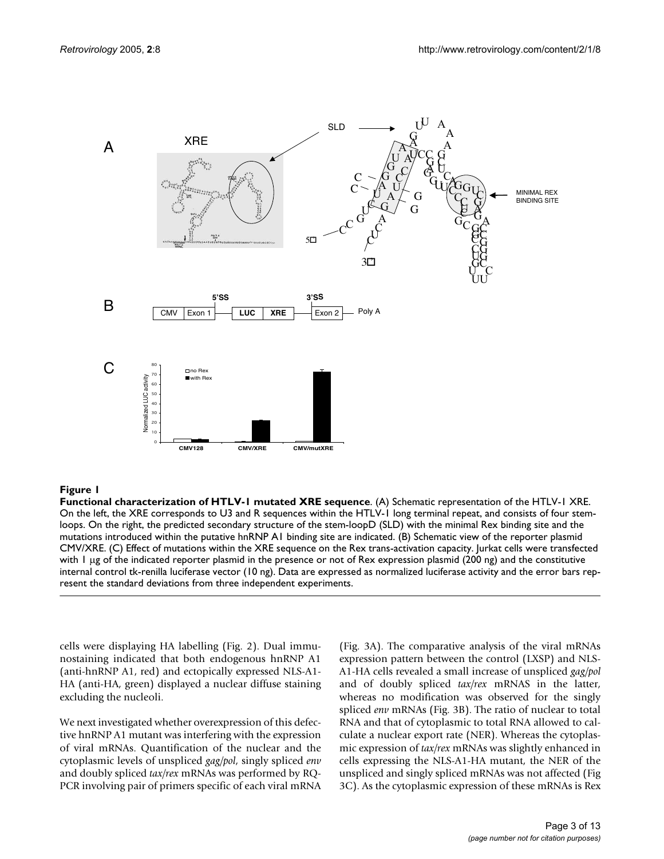<span id="page-3-0"></span>

**Functional characterization of HTLV-1 mutated XRE sequence**. (A) Schematic representation of the HTLV-1 XRE. On the left, the XRE corresponds to U3 and R sequences within the HTLV-1 long terminal repeat, and consists of four stemloops. On the right, the predicted secondary structure of the stem-loopD (SLD) with the minimal Rex binding site and the mutations introduced within the putative hnRNP A1 binding site are indicated. (B) Schematic view of the reporter plasmid CMV/XRE. (C) Effect of mutations within the XRE sequence on the Rex trans-activation capacity. Jurkat cells were transfected with 1 µg of the indicated reporter plasmid in the presence or not of Rex expression plasmid (200 ng) and the constitutive internal control tk-renilla luciferase vector (10 ng). Data are expressed as normalized luciferase activity and the error bars represent the standard deviations from three independent experiments.

cells were displaying HA labelling (Fig. 2). Dual immunostaining indicated that both endogenous hnRNP A1 (anti-hnRNP A1, red) and ectopically expressed NLS-A1- HA (anti-HA, green) displayed a nuclear diffuse staining excluding the nucleoli.

We next investigated whether overexpression of this defective hnRNP A1 mutant was interfering with the expression of viral mRNAs. Quantification of the nuclear and the cytoplasmic levels of unspliced *gag/pol*, singly spliced *env* and doubly spliced *tax/rex* mRNAs was performed by RQ-PCR involving pair of primers specific of each viral mRNA (Fig. 3A). The comparative analysis of the viral mRNAs expression pattern between the control (LXSP) and NLS-A1-HA cells revealed a small increase of unspliced *gag/pol* and of doubly spliced *tax/rex* mRNAS in the latter, whereas no modification was observed for the singly spliced *env* mRNAs (Fig. 3B). The ratio of nuclear to total RNA and that of cytoplasmic to total RNA allowed to calculate a nuclear export rate (NER). Whereas the cytoplasmic expression of *tax/rex* mRNAs was slightly enhanced in cells expressing the NLS-A1-HA mutant, the NER of the unspliced and singly spliced mRNAs was not affected (Fig 3C). As the cytoplasmic expression of these mRNAs is Rex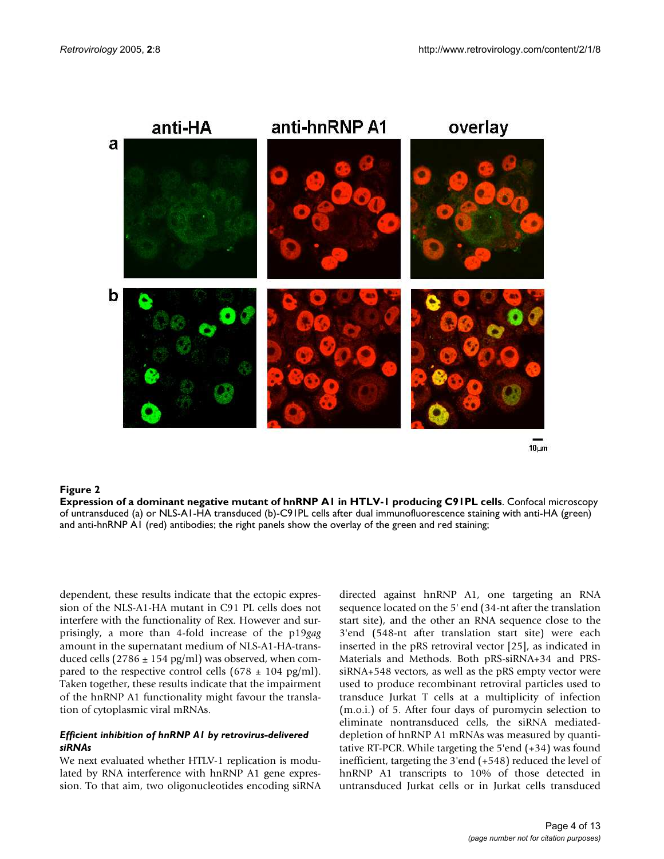



#### Expression of a dominant negative mutant of **Figure 2** hnRNP A1 in HTLV-1 producing C91PL cells

**Expression of a dominant negative mutant of hnRNP A1 in HTLV-1 producing C91PL cells**. Confocal microscopy of untransduced (a) or NLS-A1-HA transduced (b)-C91PL cells after dual immunofluorescence staining with anti-HA (green) and anti-hnRNP A1 (red) antibodies; the right panels show the overlay of the green and red staining;

dependent, these results indicate that the ectopic expression of the NLS-A1-HA mutant in C91 PL cells does not interfere with the functionality of Rex. However and surprisingly, a more than 4-fold increase of the p19*gag* amount in the supernatant medium of NLS-A1-HA-transduced cells (2786  $\pm$  154 pg/ml) was observed, when compared to the respective control cells (678  $\pm$  104 pg/ml). Taken together, these results indicate that the impairment of the hnRNP A1 functionality might favour the translation of cytoplasmic viral mRNAs.

#### *Efficient inhibition of hnRNP A1 by retrovirus-delivered siRNAs*

We next evaluated whether HTLV-1 replication is modulated by RNA interference with hnRNP A1 gene expression. To that aim, two oligonucleotides encoding siRNA directed against hnRNP A1, one targeting an RNA sequence located on the 5' end (34-nt after the translation start site), and the other an RNA sequence close to the 3'end (548-nt after translation start site) were each inserted in the pRS retroviral vector [25], as indicated in Materials and Methods. Both pRS-siRNA+34 and PRSsiRNA+548 vectors, as well as the pRS empty vector were used to produce recombinant retroviral particles used to transduce Jurkat T cells at a multiplicity of infection (m.o.i.) of 5. After four days of puromycin selection to eliminate nontransduced cells, the siRNA mediateddepletion of hnRNP A1 mRNAs was measured by quantitative RT-PCR. While targeting the 5'end (+34) was found inefficient, targeting the 3'end (+548) reduced the level of hnRNP A1 transcripts to 10% of those detected in untransduced Jurkat cells or in Jurkat cells transduced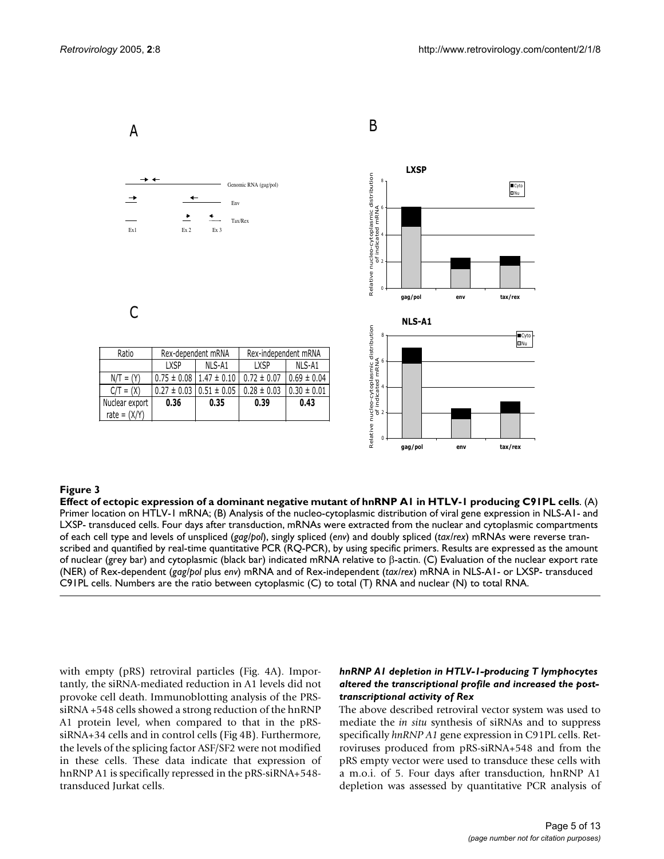

## Effect of ectopic expression of a **Figure 3** dominant negative mutant of hnRNP A1 in HTLV-1 producing C91PL cells

**Effect of ectopic expression of a dominant negative mutant of hnRNP A1 in HTLV-1 producing C91PL cells**. (A) Primer location on HTLV-1 mRNA; (B) Analysis of the nucleo-cytoplasmic distribution of viral gene expression in NLS-A1- and LXSP- transduced cells. Four days after transduction, mRNAs were extracted from the nuclear and cytoplasmic compartments of each cell type and levels of unspliced (*gag/pol*), singly spliced (*env*) and doubly spliced (*tax/rex*) mRNAs were reverse transcribed and quantified by real-time quantitative PCR (RQ-PCR), by using specific primers. Results are expressed as the amount of nuclear (grey bar) and cytoplasmic (black bar) indicated mRNA relative to β-actin. (C) Evaluation of the nuclear export rate (NER) of Rex-dependent (*gag/pol* plus *env*) mRNA and of Rex-independent (*tax/rex*) mRNA in NLS-A1- or LXSP- transduced C91PL cells. Numbers are the ratio between cytoplasmic (C) to total (T) RNA and nuclear (N) to total RNA.

with empty (pRS) retroviral particles (Fig. 4A). Importantly, the siRNA-mediated reduction in A1 levels did not provoke cell death. Immunoblotting analysis of the PRSsiRNA +548 cells showed a strong reduction of the hnRNP A1 protein level, when compared to that in the pRSsiRNA+34 cells and in control cells (Fig 4B). Furthermore, the levels of the splicing factor ASF/SF2 were not modified in these cells. These data indicate that expression of hnRNP A1 is specifically repressed in the pRS-siRNA+548 transduced Jurkat cells.

#### *hnRNP A1 depletion in HTLV-1-producing T lymphocytes altered the transcriptional profile and increased the posttranscriptional activity of Rex*

The above described retroviral vector system was used to mediate the *in situ* synthesis of siRNAs and to suppress specifically *hnRNP A1* gene expression in C91PL cells. Retroviruses produced from pRS-siRNA+548 and from the pRS empty vector were used to transduce these cells with a m.o.i. of 5. Four days after transduction, hnRNP A1 depletion was assessed by quantitative PCR analysis of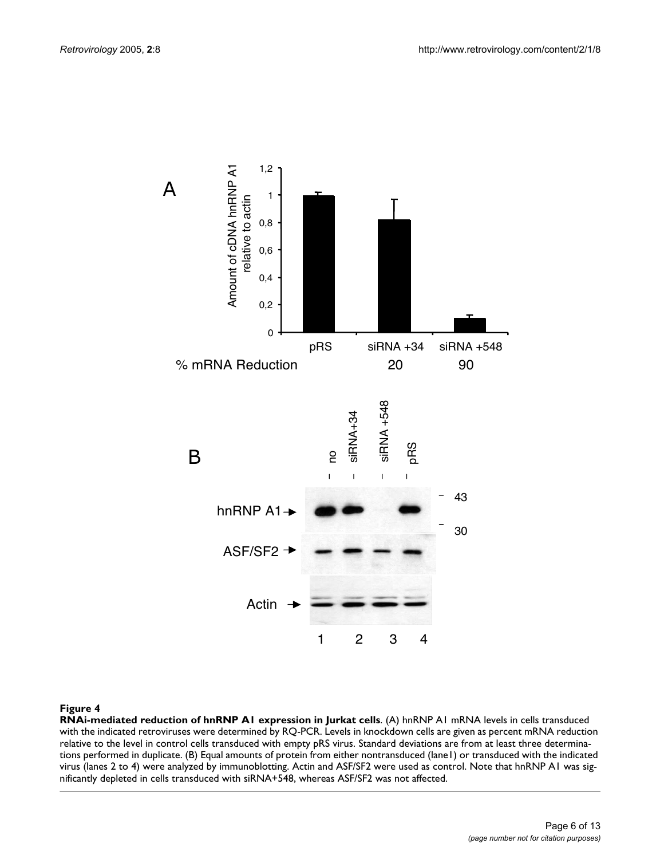

**RNAi-mediated reduction of hnRNP A1 expression in Jurkat cells**. (A) hnRNP A1 mRNA levels in cells transduced with the indicated retroviruses were determined by RQ-PCR. Levels in knockdown cells are given as percent mRNA reduction relative to the level in control cells transduced with empty pRS virus. Standard deviations are from at least three determinations performed in duplicate. (B) Equal amounts of protein from either nontransduced (lane1) or transduced with the indicated virus (lanes 2 to 4) were analyzed by immunoblotting. Actin and ASF/SF2 were used as control. Note that hnRNP A1 was sig-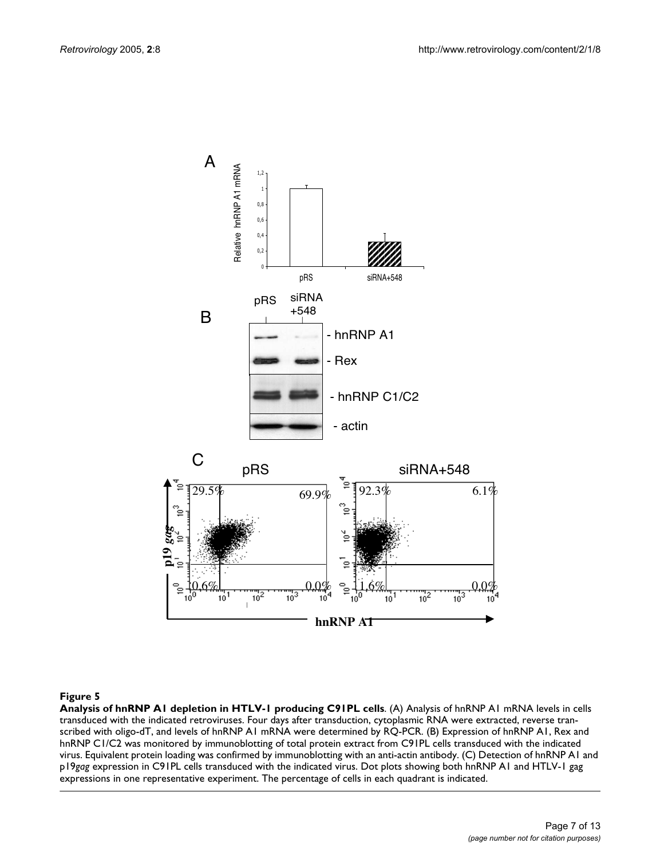

**Analysis of hnRNP A1 depletion in HTLV-1 producing C91PL cells**. (A) Analysis of hnRNP A1 mRNA levels in cells transduced with the indicated retroviruses. Four days after transduction, cytoplasmic RNA were extracted, reverse transcribed with oligo-dT, and levels of hnRNP A1 mRNA were determined by RQ-PCR. (B) Expression of hnRNP A1, Rex and hnRNP C1/C2 was monitored by immunoblotting of total protein extract from C91PL cells transduced with the indicated virus. Equivalent protein loading was confirmed by immunoblotting with an anti-actin antibody. (C) Detection of hnRNP A1 and p19*gag* expression in C91PL cells transduced with the indicated virus. Dot plots showing both hnRNP A1 and HTLV-1 gag expressions in one representative experiment. The percentage of cells in each quadrant is indicated.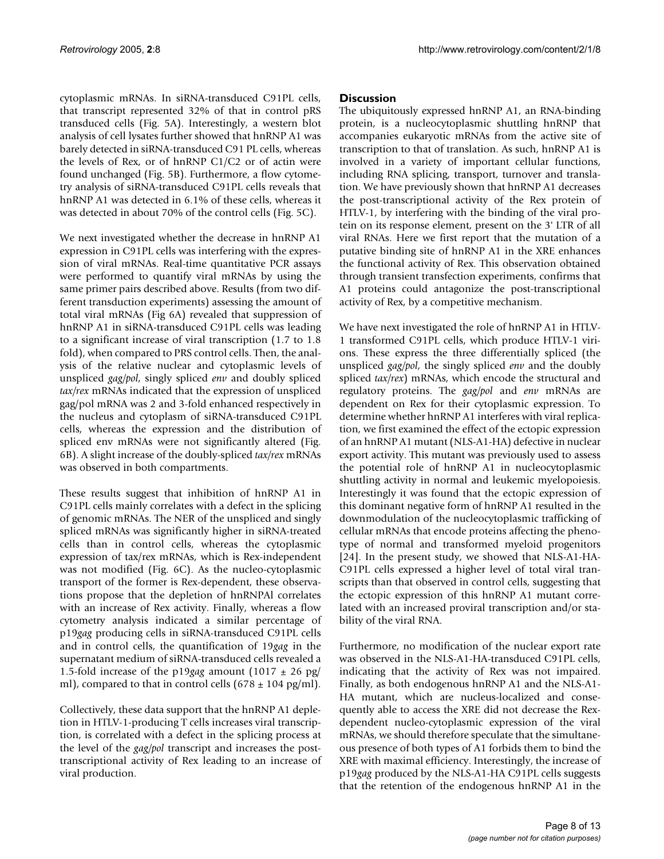cytoplasmic mRNAs. In siRNA-transduced C91PL cells, that transcript represented 32% of that in control pRS transduced cells (Fig. 5A). Interestingly, a western blot analysis of cell lysates further showed that hnRNP A1 was barely detected in siRNA-transduced C91 PL cells, whereas the levels of Rex, or of hnRNP C1/C2 or of actin were found unchanged (Fig. 5B). Furthermore, a flow cytometry analysis of siRNA-transduced C91PL cells reveals that hnRNP A1 was detected in 6.1% of these cells, whereas it was detected in about 70% of the control cells (Fig. 5C).

We next investigated whether the decrease in hnRNP A1 expression in C91PL cells was interfering with the expression of viral mRNAs. Real-time quantitative PCR assays were performed to quantify viral mRNAs by using the same primer pairs described above. Results (from two different transduction experiments) assessing the amount of total viral mRNAs (Fig [6](#page-9-0)A) revealed that suppression of hnRNP A1 in siRNA-transduced C91PL cells was leading to a significant increase of viral transcription (1.7 to 1.8 fold), when compared to PRS control cells. Then, the analysis of the relative nuclear and cytoplasmic levels of unspliced *gag/pol*, singly spliced *env* and doubly spliced *tax/rex* mRNAs indicated that the expression of unspliced gag/pol mRNA was 2 and 3-fold enhanced respectively in the nucleus and cytoplasm of siRNA-transduced C91PL cells, whereas the expression and the distribution of spliced env mRNAs were not significantly altered (Fig. [6B](#page-9-0)). A slight increase of the doubly-spliced *tax/rex* mRNAs was observed in both compartments.

These results suggest that inhibition of hnRNP A1 in C91PL cells mainly correlates with a defect in the splicing of genomic mRNAs. The NER of the unspliced and singly spliced mRNAs was significantly higher in siRNA-treated cells than in control cells, whereas the cytoplasmic expression of tax/rex mRNAs, which is Rex-independent was not modified (Fig. [6](#page-9-0)C). As the nucleo-cytoplasmic transport of the former is Rex-dependent, these observations propose that the depletion of hnRNPAl correlates with an increase of Rex activity. Finally, whereas a flow cytometry analysis indicated a similar percentage of p19*gag* producing cells in siRNA-transduced C91PL cells and in control cells, the quantification of 19*gag* in the supernatant medium of siRNA-transduced cells revealed a 1.5-fold increase of the p19*gag* amount (1017 ± 26 pg/ ml), compared to that in control cells  $(678 \pm 104 \text{ pg/ml})$ .

Collectively, these data support that the hnRNP A1 depletion in HTLV-1-producing T cells increases viral transcription, is correlated with a defect in the splicing process at the level of the *gag/pol* transcript and increases the posttranscriptional activity of Rex leading to an increase of viral production.

## **Discussion**

The ubiquitously expressed hnRNP A1, an RNA-binding protein, is a nucleocytoplasmic shuttling hnRNP that accompanies eukaryotic mRNAs from the active site of transcription to that of translation. As such, hnRNP A1 is involved in a variety of important cellular functions, including RNA splicing, transport, turnover and translation. We have previously shown that hnRNP A1 decreases the post-transcriptional activity of the Rex protein of HTLV-1, by interfering with the binding of the viral protein on its response element, present on the 3' LTR of all viral RNAs. Here we first report that the mutation of a putative binding site of hnRNP A1 in the XRE enhances the functional activity of Rex. This observation obtained through transient transfection experiments, confirms that A1 proteins could antagonize the post-transcriptional activity of Rex, by a competitive mechanism.

We have next investigated the role of hnRNP A1 in HTLV-1 transformed C91PL cells, which produce HTLV-1 virions. These express the three differentially spliced (the unspliced *gag/pol*, the singly spliced *env* and the doubly spliced *tax/rex*) mRNAs, which encode the structural and regulatory proteins. The *gag/pol* and *env* mRNAs are dependent on Rex for their cytoplasmic expression. To determine whether hnRNP A1 interferes with viral replication, we first examined the effect of the ectopic expression of an hnRNP A1 mutant (NLS-A1-HA) defective in nuclear export activity. This mutant was previously used to assess the potential role of hnRNP A1 in nucleocytoplasmic shuttling activity in normal and leukemic myelopoiesis. Interestingly it was found that the ectopic expression of this dominant negative form of hnRNP A1 resulted in the downmodulation of the nucleocytoplasmic trafficking of cellular mRNAs that encode proteins affecting the phenotype of normal and transformed myeloid progenitors [24]. In the present study, we showed that NLS-A1-HA-C91PL cells expressed a higher level of total viral transcripts than that observed in control cells, suggesting that the ectopic expression of this hnRNP A1 mutant correlated with an increased proviral transcription and/or stability of the viral RNA.

Furthermore, no modification of the nuclear export rate was observed in the NLS-A1-HA-transduced C91PL cells, indicating that the activity of Rex was not impaired. Finally, as both endogenous hnRNP A1 and the NLS-A1- HA mutant, which are nucleus-localized and consequently able to access the XRE did not decrease the Rexdependent nucleo-cytoplasmic expression of the viral mRNAs, we should therefore speculate that the simultaneous presence of both types of A1 forbids them to bind the XRE with maximal efficiency. Interestingly, the increase of p19*gag* produced by the NLS-A1-HA C91PL cells suggests that the retention of the endogenous hnRNP A1 in the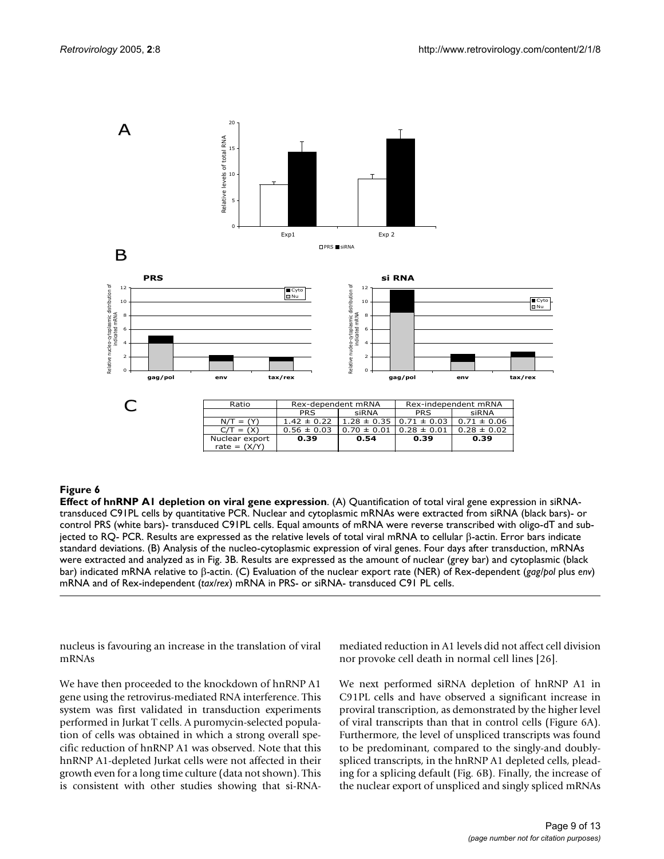<span id="page-9-0"></span>

**Effect of hnRNP A1 depletion on viral gene expression**. (A) Quantification of total viral gene expression in siRNAtransduced C91PL cells by quantitative PCR. Nuclear and cytoplasmic mRNAs were extracted from siRNA (black bars)- or control PRS (white bars)- transduced C91PL cells. Equal amounts of mRNA were reverse transcribed with oligo-dT and subjected to RQ- PCR. Results are expressed as the relative levels of total viral mRNA to cellular β-actin. Error bars indicate standard deviations. (B) Analysis of the nucleo-cytoplasmic expression of viral genes. Four days after transduction, mRNAs were extracted and analyzed as in Fig. 3B. Results are expressed as the amount of nuclear (grey bar) and cytoplasmic (black bar) indicated mRNA relative to β-actin. (C) Evaluation of the nuclear export rate (NER) of Rex-dependent (*gag/pol* plus *env*) mRNA and of Rex-independent (*tax/rex*) mRNA in PRS- or siRNA- transduced C91 PL cells.

nucleus is favouring an increase in the translation of viral mRNAs

We have then proceeded to the knockdown of hnRNP A1 gene using the retrovirus-mediated RNA interference. This system was first validated in transduction experiments performed in Jurkat T cells. A puromycin-selected population of cells was obtained in which a strong overall specific reduction of hnRNP A1 was observed. Note that this hnRNP A1-depleted Jurkat cells were not affected in their growth even for a long time culture (data not shown). This is consistent with other studies showing that si-RNA-

mediated reduction in A1 levels did not affect cell division nor provoke cell death in normal cell lines [26].

We next performed siRNA depletion of hnRNP A1 in C91PL cells and have observed a significant increase in proviral transcription, as demonstrated by the higher level of viral transcripts than that in control cells (Figure [6](#page-9-0)A). Furthermore, the level of unspliced transcripts was found to be predominant, compared to the singly-and doublyspliced transcripts, in the hnRNP A1 depleted cells, pleading for a splicing default (Fig. [6B](#page-9-0)). Finally, the increase of the nuclear export of unspliced and singly spliced mRNAs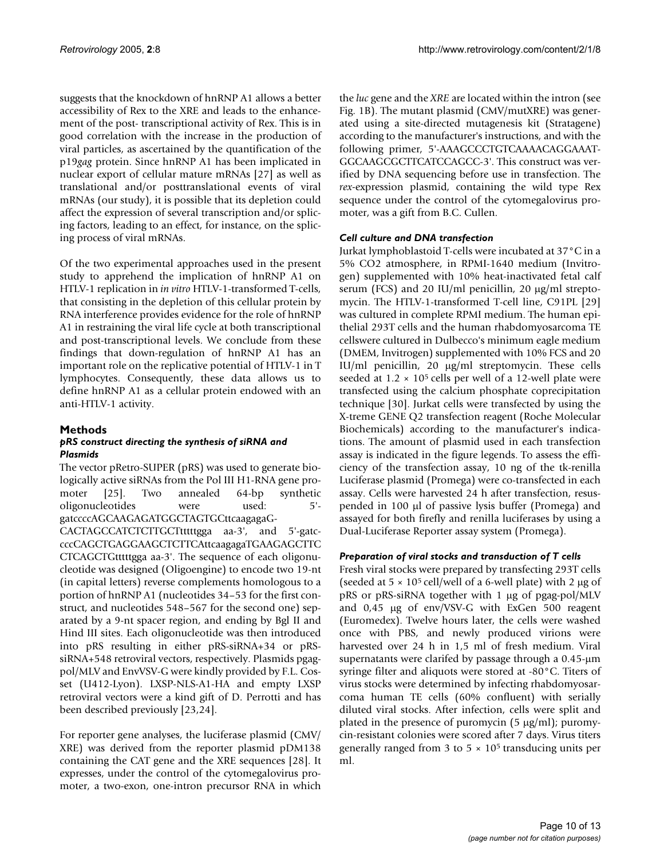suggests that the knockdown of hnRNP A1 allows a better accessibility of Rex to the XRE and leads to the enhancement of the post- transcriptional activity of Rex. This is in good correlation with the increase in the production of viral particles, as ascertained by the quantification of the p19*gag* protein. Since hnRNP A1 has been implicated in nuclear export of cellular mature mRNAs [27] as well as translational and/or posttranslational events of viral mRNAs (our study), it is possible that its depletion could affect the expression of several transcription and/or splicing factors, leading to an effect, for instance, on the splicing process of viral mRNAs.

Of the two experimental approaches used in the present study to apprehend the implication of hnRNP A1 on HTLV-1 replication in *in vitro* HTLV-1-transformed T-cells, that consisting in the depletion of this cellular protein by RNA interference provides evidence for the role of hnRNP A1 in restraining the viral life cycle at both transcriptional and post-transcriptional levels. We conclude from these findings that down-regulation of hnRNP A1 has an important role on the replicative potential of HTLV-1 in T lymphocytes. Consequently, these data allows us to define hnRNP A1 as a cellular protein endowed with an anti-HTLV-1 activity.

### **Methods**

#### *pRS construct directing the synthesis of siRNA and Plasmids*

The vector pRetro-SUPER (pRS) was used to generate biologically active siRNAs from the Pol III H1-RNA gene promoter [25]. Two annealed 64-bp synthetic oligonucleotides were used: 5' gatccccAGCAAGAGATGGCTAGTGCttcaagagaG-

CACTAGCCATCTCTTGCTtttttgga aa-3', and 5'-gatccccCAGCTGAGGAAGCTCTTCAttcaagagaTGAAGAGCTTC CTCAGCTGtttttgga aa-3'. The sequence of each oligonucleotide was designed (Oligoengine) to encode two 19-nt (in capital letters) reverse complements homologous to a portion of hnRNP A1 (nucleotides 34–53 for the first construct, and nucleotides 548–567 for the second one) separated by a 9-nt spacer region, and ending by Bgl II and Hind III sites. Each oligonucleotide was then introduced into pRS resulting in either pRS-siRNA+34 or pRSsiRNA+548 retroviral vectors, respectively. Plasmids pgagpol/MLV and EnvVSV-G were kindly provided by F.L. Cosset (U412-Lyon). LXSP-NLS-A1-HA and empty LXSP retroviral vectors were a kind gift of D. Perrotti and has been described previously [23,24].

For reporter gene analyses, the luciferase plasmid (CMV/ XRE) was derived from the reporter plasmid pDM138 containing the CAT gene and the XRE sequences [28]. It expresses, under the control of the cytomegalovirus promoter, a two-exon, one-intron precursor RNA in which the *luc* gene and the *XRE* are located within the intron (see Fig. [1](#page-3-0)B). The mutant plasmid (CMV/mutXRE) was generated using a site-directed mutagenesis kit (Stratagene) according to the manufacturer's instructions, and with the following primer, 5'-AAAGCCCTGTCAAAACAGGAAAT-GGCAAGCGCTTCATCCAGCC-3'. This construct was verified by DNA sequencing before use in transfection. The *rex-*expression plasmid, containing the wild type Rex sequence under the control of the cytomegalovirus promoter, was a gift from B.C. Cullen.

## *Cell culture and DNA transfection*

Jurkat lymphoblastoid T-cells were incubated at 37°C in a 5% CO2 atmosphere, in RPMI-1640 medium (Invitrogen) supplemented with 10% heat-inactivated fetal calf serum (FCS) and 20 IU/ml penicillin, 20  $\mu$ g/ml streptomycin. The HTLV-1-transformed T-cell line, C91PL [29] was cultured in complete RPMI medium. The human epithelial 293T cells and the human rhabdomyosarcoma TE cellswere cultured in Dulbecco's minimum eagle medium (DMEM, Invitrogen) supplemented with 10% FCS and 20 IU/ml penicillin, 20 µg/ml streptomycin. These cells seeded at  $1.2 \times 10^5$  cells per well of a 12-well plate were transfected using the calcium phosphate coprecipitation technique [30]. Jurkat cells were transfected by using the X-treme GENE Q2 transfection reagent (Roche Molecular Biochemicals) according to the manufacturer's indications. The amount of plasmid used in each transfection assay is indicated in the figure legends. To assess the efficiency of the transfection assay, 10 ng of the tk-renilla Luciferase plasmid (Promega) were co-transfected in each assay. Cells were harvested 24 h after transfection, resuspended in 100 µl of passive lysis buffer (Promega) and assayed for both firefly and renilla luciferases by using a Dual-Luciferase Reporter assay system (Promega).

## *Preparation of viral stocks and transduction of T cells*

Fresh viral stocks were prepared by transfecting 293T cells (seeded at  $5 \times 10^5$  cell/well of a 6-well plate) with 2 µg of pRS or pRS-siRNA together with 1 µg of pgag-pol/MLV and 0,45 µg of env/VSV-G with ExGen 500 reagent (Euromedex). Twelve hours later, the cells were washed once with PBS, and newly produced virions were harvested over 24 h in 1,5 ml of fresh medium. Viral supernatants were clarifed by passage through a 0.45-µm syringe filter and aliquots were stored at -80°C. Titers of virus stocks were determined by infecting rhabdomyosarcoma human TE cells (60% confluent) with serially diluted viral stocks. After infection, cells were split and plated in the presence of puromycin (5 µg/ml); puromycin-resistant colonies were scored after 7 days. Virus titers generally ranged from 3 to  $5 \times 10^5$  transducing units per ml.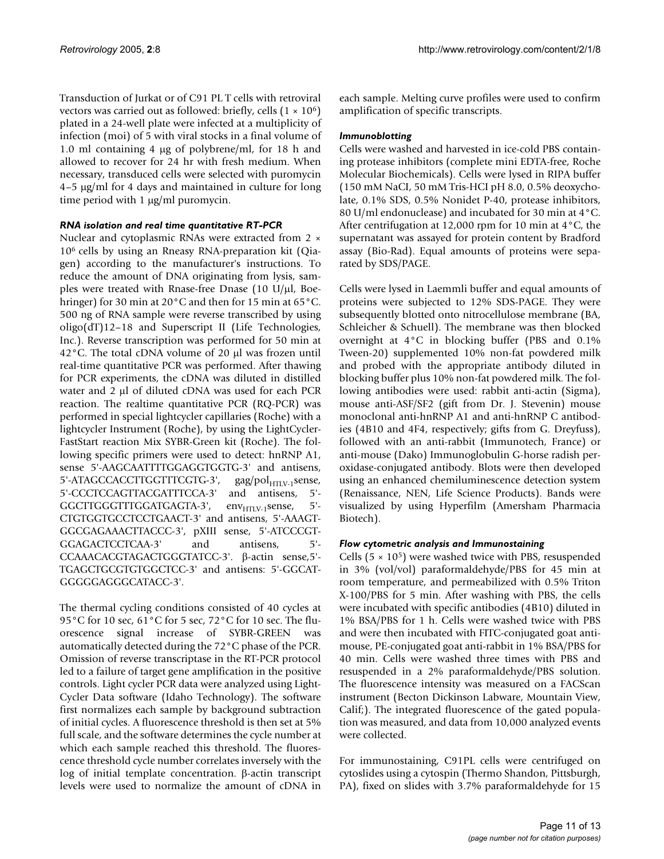Transduction of Jurkat or of C91 PL T cells with retroviral vectors was carried out as followed: briefly, cells  $(1 \times 10^6)$ plated in a 24-well plate were infected at a multiplicity of infection (moi) of 5 with viral stocks in a final volume of 1.0 ml containing 4 µg of polybrene/ml, for 18 h and allowed to recover for 24 hr with fresh medium. When necessary, transduced cells were selected with puromycin 4–5 µg/ml for 4 days and maintained in culture for long time period with 1 µg/ml puromycin.

#### *RNA isolation and real time quantitative RT-PCR*

Nuclear and cytoplasmic RNAs were extracted from 2 × 106 cells by using an Rneasy RNA-preparation kit (Qiagen) according to the manufacturer's instructions. To reduce the amount of DNA originating from lysis, samples were treated with Rnase-free Dnase (10  $U/\mu$ l, Boehringer) for 30 min at 20°C and then for 15 min at 65°C. 500 ng of RNA sample were reverse transcribed by using oligo(dT)12–18 and Superscript II (Life Technologies, Inc.). Reverse transcription was performed for 50 min at 42°C. The total cDNA volume of 20 µl was frozen until real-time quantitative PCR was performed. After thawing for PCR experiments, the cDNA was diluted in distilled water and 2 µl of diluted cDNA was used for each PCR reaction. The realtime quantitative PCR (RQ-PCR) was performed in special lightcycler capillaries (Roche) with a lightcycler Instrument (Roche), by using the LightCycler-FastStart reaction Mix SYBR-Green kit (Roche). The following specific primers were used to detect: hnRNP A1, sense 5'-AAGCAATTTTGGAGGTGGTG-3' and antisens, 5'-ATAGCCACCTTGGTTTCGTG-3', gag/pol<sub>HTLV-1</sub>sense,<br>5'-CCCTCCAGTTACGATTTCCA-3' and antisens, 5'-5'-CCCTCCAGTTACGATTTCCA-3' GGCTTGGGTTTGGATGAGTA-3', env<sub>HTLV-1</sub>sense, 5'-CTGTGGTGCCTCCTGAACT-3' and antisens, 5'-AAAGT-GGCGAGAAACTTACCC-3', pXIII sense, 5'-ATCCCGT-GGAGACTCCTCAA-3' and antisens, 5'- CCAAACACGTAGACTGGGTATCC-3'. β-actin sense,5'- TGAGCTGCGTGTGGCTCC-3' and antisens: 5'-GGCAT-GGGGGAGGGCATACC-3'.

The thermal cycling conditions consisted of 40 cycles at 95°C for 10 sec, 61°C for 5 sec, 72°C for 10 sec. The fluorescence signal increase of SYBR-GREEN was automatically detected during the 72°C phase of the PCR. Omission of reverse transcriptase in the RT-PCR protocol led to a failure of target gene amplification in the positive controls. Light cycler PCR data were analyzed using Light-Cycler Data software (Idaho Technology). The software first normalizes each sample by background subtraction of initial cycles. A fluorescence threshold is then set at 5% full scale, and the software determines the cycle number at which each sample reached this threshold. The fluorescence threshold cycle number correlates inversely with the log of initial template concentration. β-actin transcript levels were used to normalize the amount of cDNA in

each sample. Melting curve profiles were used to confirm amplification of specific transcripts.

#### *Immunoblotting*

Cells were washed and harvested in ice-cold PBS containing protease inhibitors (complete mini EDTA-free, Roche Molecular Biochemicals). Cells were lysed in RIPA buffer (150 mM NaCI, 50 mM Tris-HCI pH 8.0, 0.5% deoxycholate, 0.1% SDS, 0.5% Nonidet P-40, protease inhibitors, 80 U/ml endonuclease) and incubated for 30 min at 4°C. After centrifugation at 12,000 rpm for 10 min at 4°C, the supernatant was assayed for protein content by Bradford assay (Bio-Rad). Equal amounts of proteins were separated by SDS/PAGE.

Cells were lysed in Laemmli buffer and equal amounts of proteins were subjected to 12% SDS-PAGE. They were subsequently blotted onto nitrocellulose membrane (BA, Schleicher & Schuell). The membrane was then blocked overnight at 4°C in blocking buffer (PBS and 0.1% Tween-20) supplemented 10% non-fat powdered milk and probed with the appropriate antibody diluted in blocking buffer plus 10% non-fat powdered milk. The following antibodies were used: rabbit anti-actin (Sigma), mouse anti-ASF/SF2 (gift from Dr. J. Stevenin) mouse monoclonal anti-hnRNP A1 and anti-hnRNP C antibodies (4B10 and 4F4, respectively; gifts from G. Dreyfuss), followed with an anti-rabbit (Immunotech, France) or anti-mouse (Dako) Immunoglobulin G-horse radish peroxidase-conjugated antibody. Blots were then developed using an enhanced chemiluminescence detection system (Renaissance, NEN, Life Science Products). Bands were visualized by using Hyperfilm (Amersham Pharmacia Biotech).

#### *Flow cytometric analysis and Immunostaining*

Cells  $(5 \times 10^5)$  were washed twice with PBS, resuspended in 3% (vol/vol) paraformaldehyde/PBS for 45 min at room temperature, and permeabilized with 0.5% Triton X-100/PBS for 5 min. After washing with PBS, the cells were incubated with specific antibodies (4B10) diluted in 1% BSA/PBS for 1 h. Cells were washed twice with PBS and were then incubated with FITC-conjugated goat antimouse, PE-conjugated goat anti-rabbit in 1% BSA/PBS for 40 min. Cells were washed three times with PBS and resuspended in a 2% paraformaldehyde/PBS solution. The fluorescence intensity was measured on a FACScan instrument (Becton Dickinson Labware, Mountain View, Calif;). The integrated fluorescence of the gated population was measured, and data from 10,000 analyzed events were collected.

For immunostaining, C91PL cells were centrifuged on cytoslides using a cytospin (Thermo Shandon, Pittsburgh, PA), fixed on slides with 3.7% paraformaldehyde for 15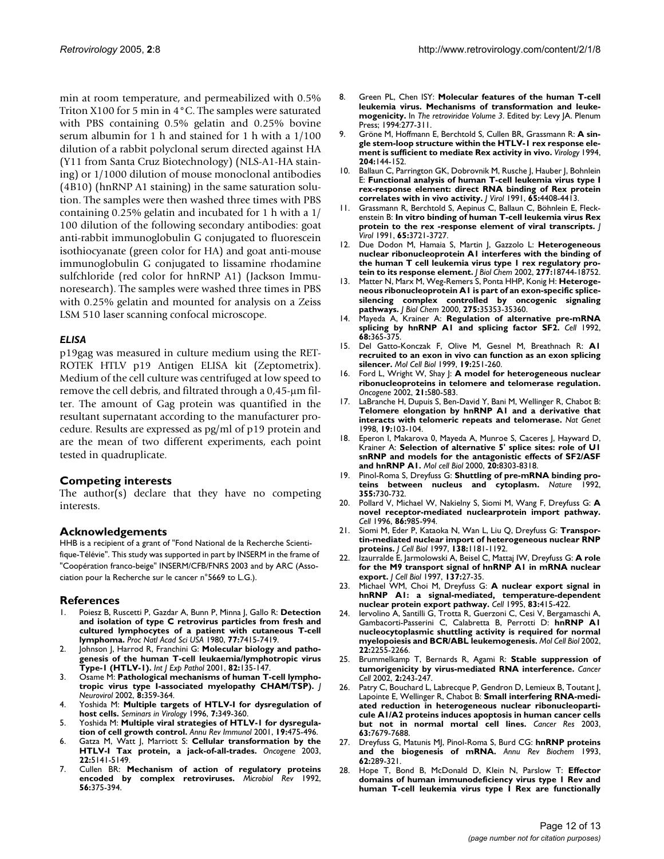min at room temperature, and permeabilized with 0.5% Triton X100 for 5 min in 4°C. The samples were saturated with PBS containing 0.5% gelatin and 0.25% bovine serum albumin for 1 h and stained for 1 h with a 1/100 dilution of a rabbit polyclonal serum directed against HA (Y11 from Santa Cruz Biotechnology) (NLS-A1-HA staining) or 1/1000 dilution of mouse monoclonal antibodies (4B10) (hnRNP A1 staining) in the same saturation solution. The samples were then washed three times with PBS containing 0.25% gelatin and incubated for 1 h with a 1/ 100 dilution of the following secondary antibodies: goat anti-rabbit immunoglobulin G conjugated to fluorescein isothiocyanate (green color for HA) and goat anti-mouse immunoglobulin G conjugated to lissamine rhodamine sulfchloride (red color for hnRNP A1) (Jackson Immunoresearch). The samples were washed three times in PBS with 0.25% gelatin and mounted for analysis on a Zeiss LSM 510 laser scanning confocal microscope.

#### *ELISA*

p19gag was measured in culture medium using the RET-ROTEK HTLV p19 Antigen ELISA kit (Zeptometrix). Medium of the cell culture was centrifuged at low speed to remove the cell debris, and filtrated through a 0,45-µm filter. The amount of Gag protein was quantified in the resultant supernatant according to the manufacturer procedure. Results are expressed as pg/ml of p19 protein and are the mean of two different experiments, each point tested in quadruplicate.

#### **Competing interests**

The author(s) declare that they have no competing interests.

#### **Acknowledgements**

HHB is a recipient of a grant of "Fond National de la Recherche Scientifique-Télévie". This study was supported in part by INSERM in the frame of "Coopération franco-beige" INSERM/CFB/FNRS 2003 and by ARC (Association pour la Recherche sur le cancer n°5669 to L.G.).

#### **References**

- 1. Poiesz B, Ruscetti P, Gazdar A, Bunn P, Minna J, Gallo R: **[Detection](http://www.ncbi.nlm.nih.gov/entrez/query.fcgi?cmd=Retrieve&db=PubMed&dopt=Abstract&list_uids=6261256) and isolation of type C retrovirus particles from fresh and [cultured lymphocytes of a patient with cutaneous T-cell](http://www.ncbi.nlm.nih.gov/entrez/query.fcgi?cmd=Retrieve&db=PubMed&dopt=Abstract&list_uids=6261256) [lymphoma.](http://www.ncbi.nlm.nih.gov/entrez/query.fcgi?cmd=Retrieve&db=PubMed&dopt=Abstract&list_uids=6261256)** *Proc Natl Acad Sci USA* 1980, **77:**7415-7419.
- Johnson J, Harrod R, Franchini G: [Molecular biology and patho](http://www.ncbi.nlm.nih.gov/entrez/query.fcgi?cmd=Retrieve&db=PubMed&dopt=Abstract&list_uids=11488989)**[genesis of the human T-cell leukaemia/lymphotropic virus](http://www.ncbi.nlm.nih.gov/entrez/query.fcgi?cmd=Retrieve&db=PubMed&dopt=Abstract&list_uids=11488989) [Type-1 \(HTLV-1\).](http://www.ncbi.nlm.nih.gov/entrez/query.fcgi?cmd=Retrieve&db=PubMed&dopt=Abstract&list_uids=11488989)** *Int J Exp Pathol* 2001, **82:**135-147.
- 3. Osame M: **[Pathological mechanisms of human T-cell lympho](http://www.ncbi.nlm.nih.gov/entrez/query.fcgi?cmd=Retrieve&db=PubMed&dopt=Abstract&list_uids=12402162)[tropic virus type I-associated myelopathy CHAM/TSP\).](http://www.ncbi.nlm.nih.gov/entrez/query.fcgi?cmd=Retrieve&db=PubMed&dopt=Abstract&list_uids=12402162)** *J Neurovirol* 2002, **8:**359-364.
- 4. Yoshida M: **Multiple targets of HTLV-I for dysregulation of host cells.** *Seminars in Virology* 1996, **7:**349-360.
- 5. Yoshida M: **[Multiple viral strategies of HTLV-1 for dysregula](http://www.ncbi.nlm.nih.gov/entrez/query.fcgi?cmd=Retrieve&db=PubMed&dopt=Abstract&list_uids=11244044)[tion of cell growth control.](http://www.ncbi.nlm.nih.gov/entrez/query.fcgi?cmd=Retrieve&db=PubMed&dopt=Abstract&list_uids=11244044)** *Annu Rev Immunol* 2001, **19:**475-496.
- 6. Gatza M, Watt J, Marriott S: **[Cellular transformation by the](http://www.ncbi.nlm.nih.gov/entrez/query.fcgi?cmd=Retrieve&db=PubMed&dopt=Abstract&list_uids=12910251) [HTLV-I Tax protein, a jack-of-all-trades.](http://www.ncbi.nlm.nih.gov/entrez/query.fcgi?cmd=Retrieve&db=PubMed&dopt=Abstract&list_uids=12910251)** *Oncogene* 2003, **22:**5141-5149.
- 7. Cullen BR: **[Mechanism of action of regulatory proteins](http://www.ncbi.nlm.nih.gov/entrez/query.fcgi?cmd=Retrieve&db=PubMed&dopt=Abstract&list_uids=1406488) [encoded by complex retroviruses.](http://www.ncbi.nlm.nih.gov/entrez/query.fcgi?cmd=Retrieve&db=PubMed&dopt=Abstract&list_uids=1406488)** *Microbiol Rev* 1992, **56:**375-394.
- 8. Green PL, Chen ISY: **Molecular features of the human T-cell leukemia virus. Mechanisms of transformation and leukemogenicity.** In *The retroviridae Volume 3*. Edited by: Levy JA. Plenum Press; 1994:277-311.
- 9. Gröne M, Hoffmann E, Berchtold S, Cullen BR, Grassmann R: **[A sin](http://www.ncbi.nlm.nih.gov/entrez/query.fcgi?cmd=Retrieve&db=PubMed&dopt=Abstract&list_uids=8091649)[gle stem-loop structure within the HTLV-1 rex response ele](http://www.ncbi.nlm.nih.gov/entrez/query.fcgi?cmd=Retrieve&db=PubMed&dopt=Abstract&list_uids=8091649)[ment is sufficient to mediate Rex activity in vivo.](http://www.ncbi.nlm.nih.gov/entrez/query.fcgi?cmd=Retrieve&db=PubMed&dopt=Abstract&list_uids=8091649)** *Virology* 1994, **204:**144-152.
- 10. Ballaun C, Parrington GK, Dobrovnik M, Rusche J, Hauber J, Bohnlein E: **[Functional analysis of human T-cell leukemia virus type I](http://www.ncbi.nlm.nih.gov/entrez/query.fcgi?cmd=Retrieve&db=PubMed&dopt=Abstract&list_uids=2072457) [rex-response element: direct RNA binding of Rex protein](http://www.ncbi.nlm.nih.gov/entrez/query.fcgi?cmd=Retrieve&db=PubMed&dopt=Abstract&list_uids=2072457) [correlates with in vivo activity.](http://www.ncbi.nlm.nih.gov/entrez/query.fcgi?cmd=Retrieve&db=PubMed&dopt=Abstract&list_uids=2072457)** *J Virol* 1991, **65:**4408-4413.
- 11. Grassmann R, Berchtold S, Aepinus C, Ballaun C, Böhnlein E, Fleckenstein B: **[In vitro binding of human T-cell leukemia virus Rex](http://www.ncbi.nlm.nih.gov/entrez/query.fcgi?cmd=Retrieve&db=PubMed&dopt=Abstract&list_uids=1904103) [protein to the rex -response element of viral transcripts.](http://www.ncbi.nlm.nih.gov/entrez/query.fcgi?cmd=Retrieve&db=PubMed&dopt=Abstract&list_uids=1904103)** *J Virol* 1991, **65:**3721-3727.
- 12. Due Dodon M, Hamaia S, Martin J, Gazzolo L: **[Heterogeneous](http://www.ncbi.nlm.nih.gov/entrez/query.fcgi?cmd=Retrieve&db=PubMed&dopt=Abstract&list_uids=11893730) [nuclear ribonucleoprotein A1 interferes with the binding of](http://www.ncbi.nlm.nih.gov/entrez/query.fcgi?cmd=Retrieve&db=PubMed&dopt=Abstract&list_uids=11893730) the human T cell leukemia virus type 1 rex regulatory pro[tein to its response element.](http://www.ncbi.nlm.nih.gov/entrez/query.fcgi?cmd=Retrieve&db=PubMed&dopt=Abstract&list_uids=11893730)** *J Biol Chem* 2002, **277:**18744-18752.
- 13. Matter N, Marx M, Weg-Remers S, Ponta HHP, Konig H: **[Heteroge](http://www.ncbi.nlm.nih.gov/entrez/query.fcgi?cmd=Retrieve&db=PubMed&dopt=Abstract&list_uids=10958793)[neous ribonucleoprotein A1 is part of an exon-specific splice](http://www.ncbi.nlm.nih.gov/entrez/query.fcgi?cmd=Retrieve&db=PubMed&dopt=Abstract&list_uids=10958793)silencing complex controlled by oncogenic signaling [pathways.](http://www.ncbi.nlm.nih.gov/entrez/query.fcgi?cmd=Retrieve&db=PubMed&dopt=Abstract&list_uids=10958793)** *J Biol Chem* 2000, **275:**35353-35360.
- 14. Mayeda A, Krainer A: **[Regulation of alternative pre-mRNA](http://www.ncbi.nlm.nih.gov/entrez/query.fcgi?cmd=Retrieve&db=PubMed&dopt=Abstract&list_uids=1531115) [splicing by hnRNP A1 and splicing factor SF2.](http://www.ncbi.nlm.nih.gov/entrez/query.fcgi?cmd=Retrieve&db=PubMed&dopt=Abstract&list_uids=1531115)** *Cell* 1992, **68:**365-375.
- 15. Del Gatto-Konczak F, Olive M, Gesnel M, Breathnach R: **[A1](http://www.ncbi.nlm.nih.gov/entrez/query.fcgi?cmd=Retrieve&db=PubMed&dopt=Abstract&list_uids=9858549) [recruited to an exon in vivo can function as an exon splicing](http://www.ncbi.nlm.nih.gov/entrez/query.fcgi?cmd=Retrieve&db=PubMed&dopt=Abstract&list_uids=9858549) [silencer.](http://www.ncbi.nlm.nih.gov/entrez/query.fcgi?cmd=Retrieve&db=PubMed&dopt=Abstract&list_uids=9858549)** *Mol Cell Biol* 1999, **19:**251-260.
- 16. Ford L, Wright W, Shay J: **[A model for heterogeneous nuclear](http://www.ncbi.nlm.nih.gov/entrez/query.fcgi?cmd=Retrieve&db=PubMed&dopt=Abstract&list_uids=11850782) [ribonucleoproteins in telomere and telomerase regulation.](http://www.ncbi.nlm.nih.gov/entrez/query.fcgi?cmd=Retrieve&db=PubMed&dopt=Abstract&list_uids=11850782)** *Oncogene* 2002, **21:**580-583.
- 17. LaBranche H, Dupuis S, Ben-David Y, Bani M, Wellinger R, Chabot B: **[Telomere elongation by hnRNP A1 and a derivative that](http://www.ncbi.nlm.nih.gov/entrez/query.fcgi?cmd=Retrieve&db=PubMed&dopt=Abstract&list_uids=9620756) [interacts with telomeric repeats and telomerase.](http://www.ncbi.nlm.nih.gov/entrez/query.fcgi?cmd=Retrieve&db=PubMed&dopt=Abstract&list_uids=9620756)** *Nat Genet* 1998, **19:**103-104.
- 18. Eperon I, Makarova 0, Mayeda A, Munroe S, Caceres J, Hayward D, Krainer A: **[Selection of alternative 5' splice sites: role of U1](http://www.ncbi.nlm.nih.gov/entrez/query.fcgi?cmd=Retrieve&db=PubMed&dopt=Abstract&list_uids=11046128) [snRNP and models for the antagonistic effects of SF2/ASF](http://www.ncbi.nlm.nih.gov/entrez/query.fcgi?cmd=Retrieve&db=PubMed&dopt=Abstract&list_uids=11046128) [and hnRNP A1.](http://www.ncbi.nlm.nih.gov/entrez/query.fcgi?cmd=Retrieve&db=PubMed&dopt=Abstract&list_uids=11046128)** *Mol cell Biol* 2000, **20:**8303-8318.
- 19. Pinol-Roma S, Dreyfuss G: **[Shuttling of pre-mRNA binding pro](http://www.ncbi.nlm.nih.gov/entrez/query.fcgi?cmd=Retrieve&db=PubMed&dopt=Abstract&list_uids=1371331)[teins between nucleus and cytoplasm.](http://www.ncbi.nlm.nih.gov/entrez/query.fcgi?cmd=Retrieve&db=PubMed&dopt=Abstract&list_uids=1371331)** *Nature* 1992, **355:**730-732.
- 20. Pollard V, Michael W, Nakielny S, Siomi M, Wang F, Dreyfuss G: **[A](http://www.ncbi.nlm.nih.gov/entrez/query.fcgi?cmd=Retrieve&db=PubMed&dopt=Abstract&list_uids=8808633) [novel receptor-mediated nuclearprotein import pathway.](http://www.ncbi.nlm.nih.gov/entrez/query.fcgi?cmd=Retrieve&db=PubMed&dopt=Abstract&list_uids=8808633)** *Cell* 1996, **86:**985-994.
- 21. Siomi M, Eder P, Kataoka N, Wan L, Liu Q, Dreyfuss G: **[Transpor](http://www.ncbi.nlm.nih.gov/entrez/query.fcgi?cmd=Retrieve&db=PubMed&dopt=Abstract&list_uids=9298975)[tin-mediated nuclear import of heterogeneous nuclear RNP](http://www.ncbi.nlm.nih.gov/entrez/query.fcgi?cmd=Retrieve&db=PubMed&dopt=Abstract&list_uids=9298975) [proteins.](http://www.ncbi.nlm.nih.gov/entrez/query.fcgi?cmd=Retrieve&db=PubMed&dopt=Abstract&list_uids=9298975)** *J Cell Biol* 1997, **138:**1181-1192.
- 22. Izaurralde E, Jarmolowski A, Beisel C, Mattaj IW, Dreyfuss G: **[A role](http://www.ncbi.nlm.nih.gov/entrez/query.fcgi?cmd=Retrieve&db=PubMed&dopt=Abstract&list_uids=9105034) [for the M9 transport signal of hnRNP A1 in mRNA nuclear](http://www.ncbi.nlm.nih.gov/entrez/query.fcgi?cmd=Retrieve&db=PubMed&dopt=Abstract&list_uids=9105034) [export.](http://www.ncbi.nlm.nih.gov/entrez/query.fcgi?cmd=Retrieve&db=PubMed&dopt=Abstract&list_uids=9105034)** *J Cell Biol* 1997, **137:**27-35.
- 23. Michael WM, Choi M, Dreyfuss G: **[A nuclear export signal in](http://www.ncbi.nlm.nih.gov/entrez/query.fcgi?cmd=Retrieve&db=PubMed&dopt=Abstract&list_uids=8521471) [hnRNP A1: a signal-mediated, temperature-dependent](http://www.ncbi.nlm.nih.gov/entrez/query.fcgi?cmd=Retrieve&db=PubMed&dopt=Abstract&list_uids=8521471) [nuclear protein export pathway.](http://www.ncbi.nlm.nih.gov/entrez/query.fcgi?cmd=Retrieve&db=PubMed&dopt=Abstract&list_uids=8521471)** *Cell* 1995, **83:**415-422.
- 24. Iervolino A, Santilli G, Trotta R, Guerzoni C, Cesi V, Bergamaschi A, Gambacorti-Passerini C, Calabretta B, Perrotti D: **[hnRNP A1](http://www.ncbi.nlm.nih.gov/entrez/query.fcgi?cmd=Retrieve&db=PubMed&dopt=Abstract&list_uids=11884611) [nucleocytoplasmic shuttling activity is required for normal](http://www.ncbi.nlm.nih.gov/entrez/query.fcgi?cmd=Retrieve&db=PubMed&dopt=Abstract&list_uids=11884611) [myelopoiesis and BCR/ABL leukemogenesis.](http://www.ncbi.nlm.nih.gov/entrez/query.fcgi?cmd=Retrieve&db=PubMed&dopt=Abstract&list_uids=11884611)** *Mol Cell Biol* 2002, **22:**2255-2266.
- 25. Brummelkamp T, Bernards R, Agami R: **[Stable suppression of](http://www.ncbi.nlm.nih.gov/entrez/query.fcgi?cmd=Retrieve&db=PubMed&dopt=Abstract&list_uids=12242156) [tumorigenicity by virus-mediated RNA interference.](http://www.ncbi.nlm.nih.gov/entrez/query.fcgi?cmd=Retrieve&db=PubMed&dopt=Abstract&list_uids=12242156)** *Cancer Cell* 2002, **2:**243-247.
- 26. Patry C, Bouchard L, Labrecque P, Gendron D, Lemieux B, Toutant J, Lapointe E, Wellinger R, Chabot B: **[Small interfering RNA-medi](http://www.ncbi.nlm.nih.gov/entrez/query.fcgi?cmd=Retrieve&db=PubMed&dopt=Abstract&list_uids=14633690)[ated reduction in heterogeneous nuclear ribonucleoparti](http://www.ncbi.nlm.nih.gov/entrez/query.fcgi?cmd=Retrieve&db=PubMed&dopt=Abstract&list_uids=14633690)cule A1/A2 proteins induces apoptosis in human cancer cells [but not in normal mortal cell lines.](http://www.ncbi.nlm.nih.gov/entrez/query.fcgi?cmd=Retrieve&db=PubMed&dopt=Abstract&list_uids=14633690)** *Cancer Res* 2003, **63:**7679-7688.
- 27. Dreyfuss G, Matunis MJ, Pinol-Roma S, Burd CG: **[hnRNP proteins](http://www.ncbi.nlm.nih.gov/entrez/query.fcgi?cmd=Retrieve&db=PubMed&dopt=Abstract&list_uids=8352591) [and the biogenesis of mRNA.](http://www.ncbi.nlm.nih.gov/entrez/query.fcgi?cmd=Retrieve&db=PubMed&dopt=Abstract&list_uids=8352591)** *Annu Rev Biochem* 1993, **62:**289-321.
- 28. Hope T, Bond B, McDonald D, Klein N, Parslow T: **[Effector](http://www.ncbi.nlm.nih.gov/entrez/query.fcgi?cmd=Retrieve&db=PubMed&dopt=Abstract&list_uids=1920623) [domains of human immunodeficiency virus type 1 Rev and](http://www.ncbi.nlm.nih.gov/entrez/query.fcgi?cmd=Retrieve&db=PubMed&dopt=Abstract&list_uids=1920623) [human T-cell leukemia virus type I Rex are functionally](http://www.ncbi.nlm.nih.gov/entrez/query.fcgi?cmd=Retrieve&db=PubMed&dopt=Abstract&list_uids=1920623)**